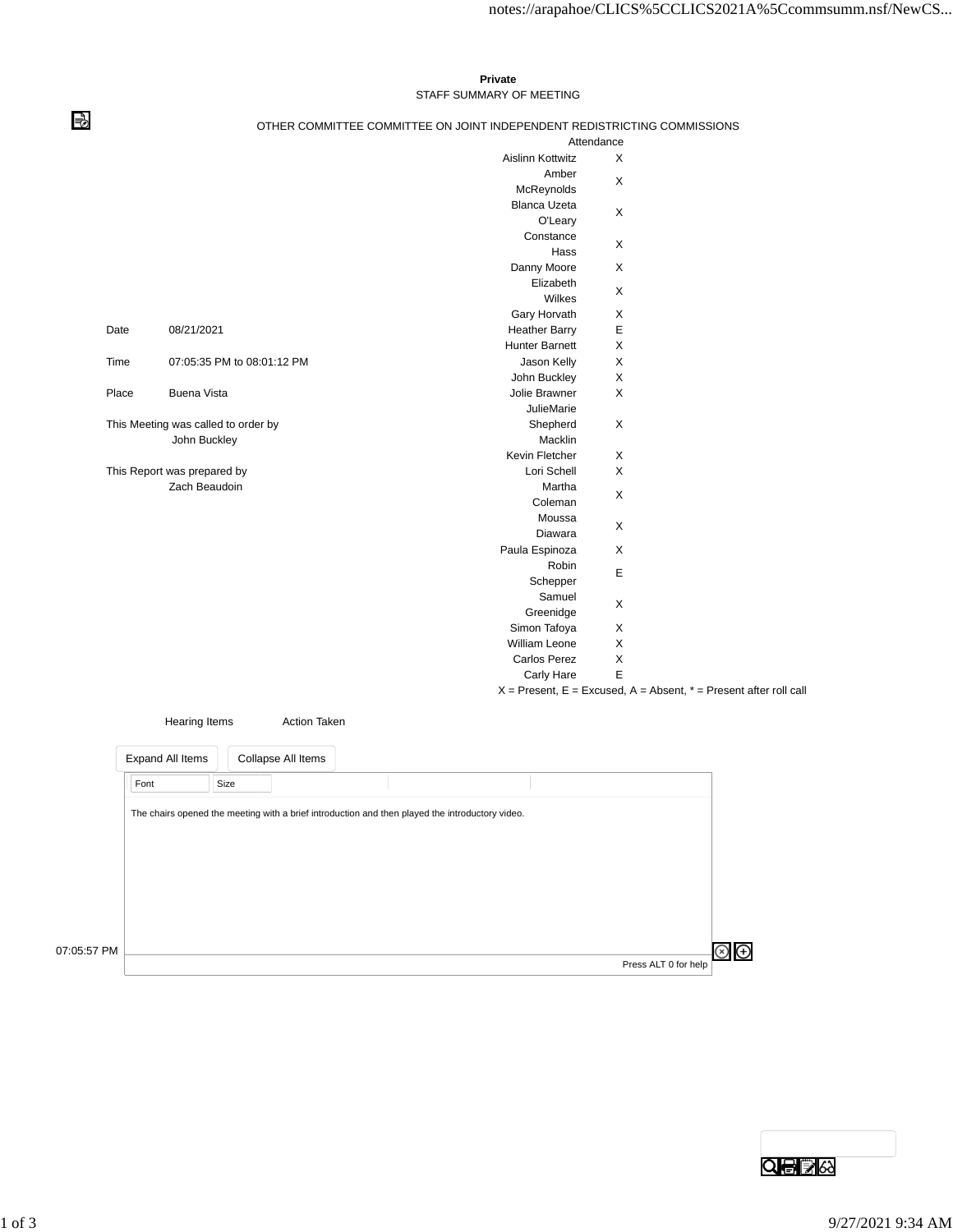## **Private** STAFF SUMMARY OF MEETING

⇛

## OTHER COMMITTEE COMMITTEE ON JOINT INDEPENDENT REDISTRICTING COMMISSIONS

|               |                                     | Attendance                     |                                                                       |
|---------------|-------------------------------------|--------------------------------|-----------------------------------------------------------------------|
|               |                                     | <b>Aislinn Kottwitz</b>        | X                                                                     |
|               |                                     | Amber<br>McReynolds            | X                                                                     |
|               |                                     | <b>Blanca Uzeta</b><br>O'Leary | X                                                                     |
|               |                                     | Constance<br>Hass              | X                                                                     |
|               |                                     | Danny Moore                    | X                                                                     |
|               |                                     | Elizabeth<br>Wilkes            | X                                                                     |
|               |                                     | Gary Horvath                   | X                                                                     |
| Date          | 08/21/2021                          | <b>Heather Barry</b>           | E                                                                     |
|               |                                     | <b>Hunter Barnett</b>          | X                                                                     |
| Time          | 07:05:35 PM to 08:01:12 PM          | Jason Kelly                    | X                                                                     |
|               |                                     | John Buckley                   | X                                                                     |
| Place         | <b>Buena Vista</b>                  | Jolie Brawner                  | X                                                                     |
|               |                                     | <b>JulieMarie</b>              |                                                                       |
|               | This Meeting was called to order by | Shepherd                       | X                                                                     |
|               | John Buckley                        | Macklin                        |                                                                       |
|               |                                     | Kevin Fletcher                 | X                                                                     |
|               | This Report was prepared by         | Lori Schell                    | X                                                                     |
| Zach Beaudoin |                                     | Martha                         |                                                                       |
|               |                                     | Coleman                        | X                                                                     |
|               |                                     | Moussa                         |                                                                       |
|               |                                     | Diawara                        | X                                                                     |
|               |                                     | Paula Espinoza                 | X                                                                     |
|               |                                     | Robin<br>Schepper              | Е                                                                     |
|               |                                     | Samuel                         |                                                                       |
|               |                                     | Greenidge                      | X                                                                     |
|               |                                     | Simon Tafoya                   | X                                                                     |
|               |                                     | William Leone                  | X                                                                     |
|               |                                     | Carlos Perez                   | $\pmb{\times}$                                                        |
|               |                                     | Carly Hare                     | E                                                                     |
|               |                                     |                                | $X =$ Present, E = Excused, A = Absent, $* =$ Present after roll call |

|             | Hearing Items                                                                                   | <b>Action Taken</b> |  |                      |  |
|-------------|-------------------------------------------------------------------------------------------------|---------------------|--|----------------------|--|
|             | Expand All Items                                                                                | Collapse All Items  |  |                      |  |
|             | Size<br>Font                                                                                    |                     |  |                      |  |
|             | The chairs opened the meeting with a brief introduction and then played the introductory video. |                     |  |                      |  |
|             |                                                                                                 |                     |  |                      |  |
|             |                                                                                                 |                     |  |                      |  |
|             |                                                                                                 |                     |  |                      |  |
|             |                                                                                                 |                     |  |                      |  |
| 07:05:57 PM |                                                                                                 |                     |  | Press ALT 0 for help |  |

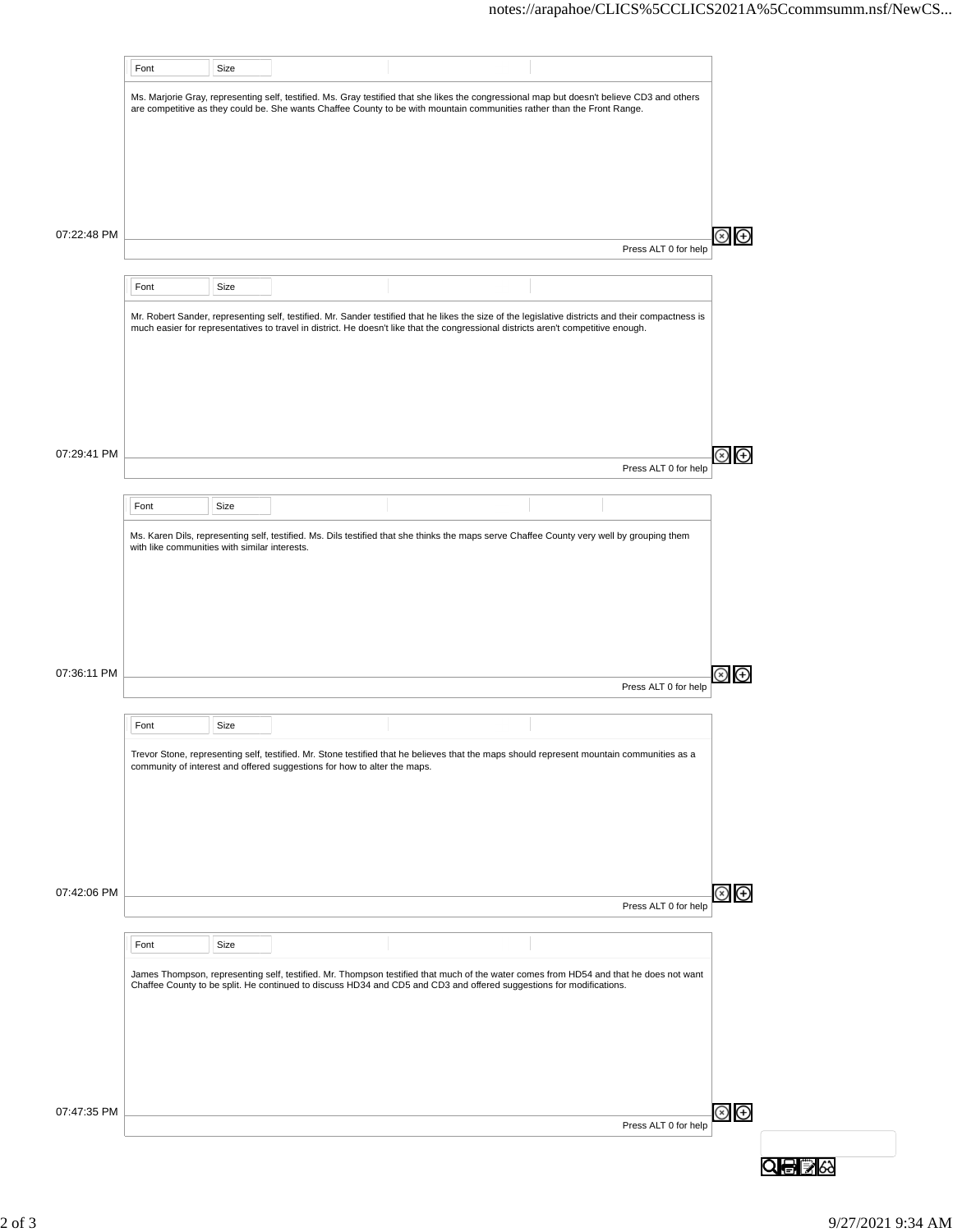|                            | Font                                          | Size |                                                                          |                                                                                                                                                                                                                                                                        |                      |                                                          |
|----------------------------|-----------------------------------------------|------|--------------------------------------------------------------------------|------------------------------------------------------------------------------------------------------------------------------------------------------------------------------------------------------------------------------------------------------------------------|----------------------|----------------------------------------------------------|
|                            |                                               |      |                                                                          |                                                                                                                                                                                                                                                                        |                      |                                                          |
|                            |                                               |      |                                                                          | Ms. Marjorie Gray, representing self, testified. Ms. Gray testified that she likes the congressional map but doesn't believe CD3 and others<br>are competitive as they could be. She wants Chaffee County to be with mountain communities rather than the Front Range. |                      |                                                          |
|                            |                                               |      |                                                                          |                                                                                                                                                                                                                                                                        |                      |                                                          |
|                            |                                               |      |                                                                          |                                                                                                                                                                                                                                                                        |                      |                                                          |
|                            |                                               |      |                                                                          |                                                                                                                                                                                                                                                                        |                      |                                                          |
|                            |                                               |      |                                                                          |                                                                                                                                                                                                                                                                        |                      |                                                          |
|                            |                                               |      |                                                                          |                                                                                                                                                                                                                                                                        |                      |                                                          |
|                            |                                               |      |                                                                          |                                                                                                                                                                                                                                                                        |                      |                                                          |
| 07:22:48 PM                |                                               |      |                                                                          |                                                                                                                                                                                                                                                                        |                      | ⊕                                                        |
|                            |                                               |      |                                                                          |                                                                                                                                                                                                                                                                        | Press ALT 0 for help |                                                          |
|                            |                                               |      |                                                                          |                                                                                                                                                                                                                                                                        |                      |                                                          |
|                            | Font                                          | Size |                                                                          |                                                                                                                                                                                                                                                                        |                      |                                                          |
|                            |                                               |      |                                                                          | Mr. Robert Sander, representing self, testified. Mr. Sander testified that he likes the size of the legislative districts and their compactness is                                                                                                                     |                      |                                                          |
|                            |                                               |      |                                                                          | much easier for representatives to travel in district. He doesn't like that the congressional districts aren't competitive enough.                                                                                                                                     |                      |                                                          |
|                            |                                               |      |                                                                          |                                                                                                                                                                                                                                                                        |                      |                                                          |
|                            |                                               |      |                                                                          |                                                                                                                                                                                                                                                                        |                      |                                                          |
|                            |                                               |      |                                                                          |                                                                                                                                                                                                                                                                        |                      |                                                          |
|                            |                                               |      |                                                                          |                                                                                                                                                                                                                                                                        |                      |                                                          |
|                            |                                               |      |                                                                          |                                                                                                                                                                                                                                                                        |                      |                                                          |
|                            |                                               |      |                                                                          |                                                                                                                                                                                                                                                                        |                      |                                                          |
| 07:29:41 PM                |                                               |      |                                                                          |                                                                                                                                                                                                                                                                        | Press ALT 0 for help | ⊕<br>(x)                                                 |
|                            |                                               |      |                                                                          |                                                                                                                                                                                                                                                                        |                      |                                                          |
|                            | Font                                          | Size |                                                                          |                                                                                                                                                                                                                                                                        |                      |                                                          |
|                            |                                               |      |                                                                          |                                                                                                                                                                                                                                                                        |                      |                                                          |
|                            | with like communities with similar interests. |      |                                                                          | Ms. Karen Dils, representing self, testified. Ms. Dils testified that she thinks the maps serve Chaffee County very well by grouping them                                                                                                                              |                      |                                                          |
|                            |                                               |      |                                                                          |                                                                                                                                                                                                                                                                        |                      |                                                          |
|                            |                                               |      |                                                                          |                                                                                                                                                                                                                                                                        |                      |                                                          |
|                            |                                               |      |                                                                          |                                                                                                                                                                                                                                                                        |                      |                                                          |
|                            |                                               |      |                                                                          |                                                                                                                                                                                                                                                                        |                      |                                                          |
|                            |                                               |      |                                                                          |                                                                                                                                                                                                                                                                        |                      |                                                          |
|                            |                                               |      |                                                                          |                                                                                                                                                                                                                                                                        |                      |                                                          |
|                            |                                               |      |                                                                          |                                                                                                                                                                                                                                                                        |                      |                                                          |
|                            |                                               |      |                                                                          |                                                                                                                                                                                                                                                                        |                      |                                                          |
|                            |                                               |      |                                                                          |                                                                                                                                                                                                                                                                        | Press ALT 0 for help | $\left( \begin{smallmatrix} + \end{smallmatrix} \right)$ |
|                            |                                               |      |                                                                          |                                                                                                                                                                                                                                                                        |                      |                                                          |
|                            | Font                                          | Size |                                                                          |                                                                                                                                                                                                                                                                        |                      |                                                          |
|                            |                                               |      |                                                                          |                                                                                                                                                                                                                                                                        |                      |                                                          |
|                            |                                               |      | community of interest and offered suggestions for how to alter the maps. | Trevor Stone, representing self, testified. Mr. Stone testified that he believes that the maps should represent mountain communities as a                                                                                                                              |                      |                                                          |
|                            |                                               |      |                                                                          |                                                                                                                                                                                                                                                                        |                      |                                                          |
|                            |                                               |      |                                                                          |                                                                                                                                                                                                                                                                        |                      |                                                          |
|                            |                                               |      |                                                                          |                                                                                                                                                                                                                                                                        |                      |                                                          |
|                            |                                               |      |                                                                          |                                                                                                                                                                                                                                                                        |                      |                                                          |
|                            |                                               |      |                                                                          |                                                                                                                                                                                                                                                                        |                      |                                                          |
|                            |                                               |      |                                                                          |                                                                                                                                                                                                                                                                        |                      |                                                          |
|                            |                                               |      |                                                                          |                                                                                                                                                                                                                                                                        |                      | ⊗<br>⊕                                                   |
|                            |                                               |      |                                                                          |                                                                                                                                                                                                                                                                        | Press ALT 0 for help |                                                          |
|                            |                                               |      |                                                                          |                                                                                                                                                                                                                                                                        |                      |                                                          |
|                            | Font                                          | Size |                                                                          |                                                                                                                                                                                                                                                                        |                      |                                                          |
|                            |                                               |      |                                                                          | James Thompson, representing self, testified. Mr. Thompson testified that much of the water comes from HD54 and that he does not want                                                                                                                                  |                      |                                                          |
|                            |                                               |      |                                                                          | Chaffee County to be split. He continued to discuss HD34 and CD5 and CD3 and offered suggestions for modifications.                                                                                                                                                    |                      |                                                          |
|                            |                                               |      |                                                                          |                                                                                                                                                                                                                                                                        |                      |                                                          |
| 07:36:11 PM<br>07:42:06 PM |                                               |      |                                                                          |                                                                                                                                                                                                                                                                        |                      |                                                          |
|                            |                                               |      |                                                                          |                                                                                                                                                                                                                                                                        |                      |                                                          |
|                            |                                               |      |                                                                          |                                                                                                                                                                                                                                                                        |                      |                                                          |
|                            |                                               |      |                                                                          |                                                                                                                                                                                                                                                                        |                      |                                                          |
| 07:47:35 PM                |                                               |      |                                                                          |                                                                                                                                                                                                                                                                        |                      |                                                          |
|                            |                                               |      |                                                                          |                                                                                                                                                                                                                                                                        | Press ALT 0 for help | ⊗<br>⊕                                                   |
|                            |                                               |      |                                                                          |                                                                                                                                                                                                                                                                        |                      |                                                          |